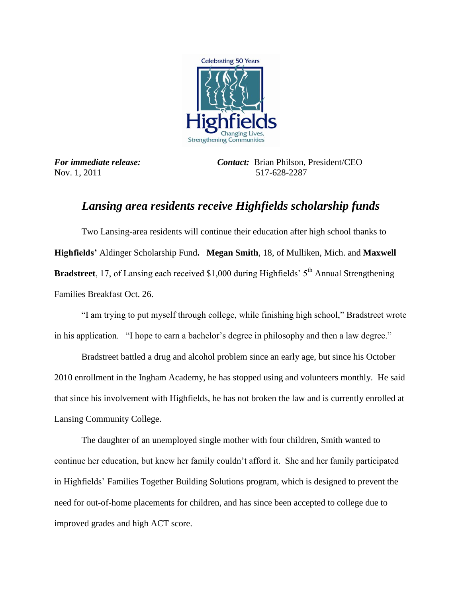

*For immediate release: Contact:*Brian Philson, President/CEO Nov. 1, 2011 517-628-2287

## *Lansing area residents receive Highfields scholarship funds*

Two Lansing-area residents will continue their education after high school thanks to **Highfields'** Aldinger Scholarship Fund**. Megan Smith**, 18, of Mulliken, Mich. and **Maxwell Bradstreet**, 17, of Lansing each received \$1,000 during Highfields' 5<sup>th</sup> Annual Strengthening Families Breakfast Oct. 26.

"I am trying to put myself through college, while finishing high school," Bradstreet wrote in his application. "I hope to earn a bachelor's degree in philosophy and then a law degree."

Bradstreet battled a drug and alcohol problem since an early age, but since his October 2010 enrollment in the Ingham Academy, he has stopped using and volunteers monthly. He said that since his involvement with Highfields, he has not broken the law and is currently enrolled at Lansing Community College.

The daughter of an unemployed single mother with four children, Smith wanted to continue her education, but knew her family couldn't afford it. She and her family participated in Highfields' Families Together Building Solutions program, which is designed to prevent the need for out-of-home placements for children, and has since been accepted to college due to improved grades and high ACT score.